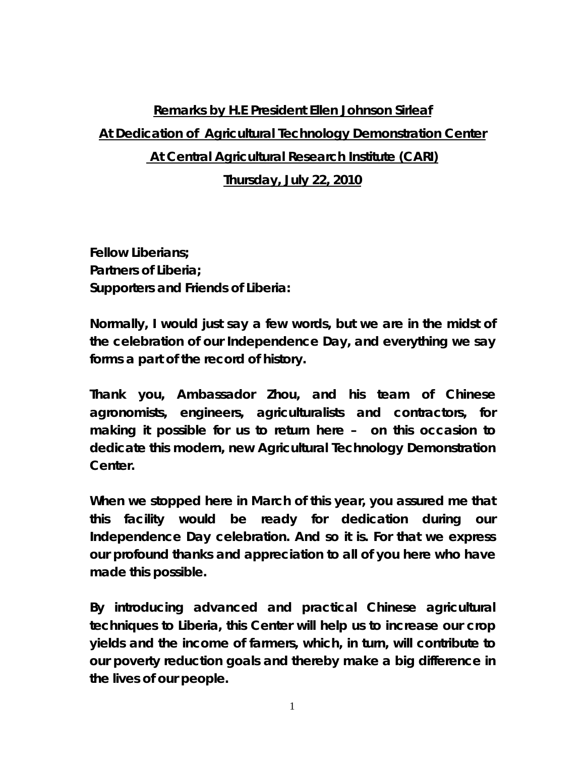## **Remarks by H.E President Ellen Johnson Sirleaf At Dedication of Agricultural Technology Demonstration Center At Central Agricultural Research Institute (CARI) Thursday, July 22, 2010**

**Fellow Liberians; Partners of Liberia; Supporters and Friends of Liberia:** 

**Normally, I would just say a few words, but we are in the midst of the celebration of our Independence Day, and everything we say forms a part of the record of history.** 

**Thank you, Ambassador Zhou, and his team of Chinese agronomists, engineers, agriculturalists and contractors, for making it possible for us to return here – on this occasion to dedicate this modern, new Agricultural Technology Demonstration Center.** 

**When we stopped here in March of this year, you assured me that this facility would be ready for dedication during our Independence Day celebration. And so it is. For that we express our profound thanks and appreciation to all of you here who have made this possible.** 

**By introducing advanced and practical Chinese agricultural techniques to Liberia, this Center will help us to increase our crop yields and the income of farmers, which, in turn, will contribute to our poverty reduction goals and thereby make a big difference in the lives of our people.**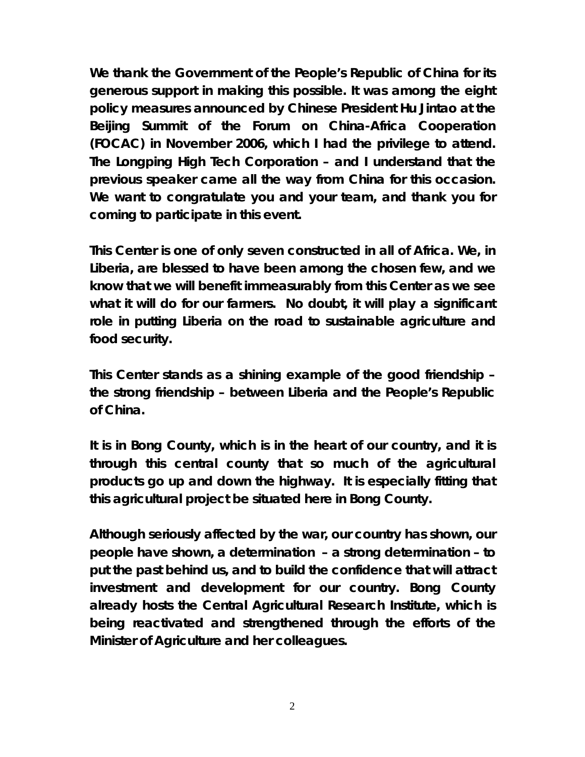**We thank the Government of the People's Republic of China for its generous support in making this possible. It was among the eight policy measures announced by Chinese President Hu Jintao at the Beijing Summit of the Forum on China-Africa Cooperation (FOCAC) in November 2006, which I had the privilege to attend. The Longping High Tech Corporation – and I understand that the previous speaker came all the way from China for this occasion. We want to congratulate you and your team, and thank you for coming to participate in this event.** 

**This Center is one of only seven constructed in all of Africa. We, in Liberia, are blessed to have been among the chosen few, and we know that we will benefit immeasurably from this Center as we see what it will do for our farmers. No doubt, it will play a significant role in putting Liberia on the road to sustainable agriculture and food security.** 

**This Center stands as a shining example of the good friendship – the strong friendship – between Liberia and the People's Republic of China.** 

**It is in Bong County, which is in the heart of our country, and it is through this central county that so much of the agricultural products go up and down the highway. It is especially fitting that this agricultural project be situated here in Bong County.** 

**Although seriously affected by the war, our country has shown, our people have shown, a determination – a strong determination – to put the past behind us, and to build the confidence that will attract investment and development for our country. Bong County already hosts the Central Agricultural Research Institute, which is being reactivated and strengthened through the efforts of the Minister of Agriculture and her colleagues.**